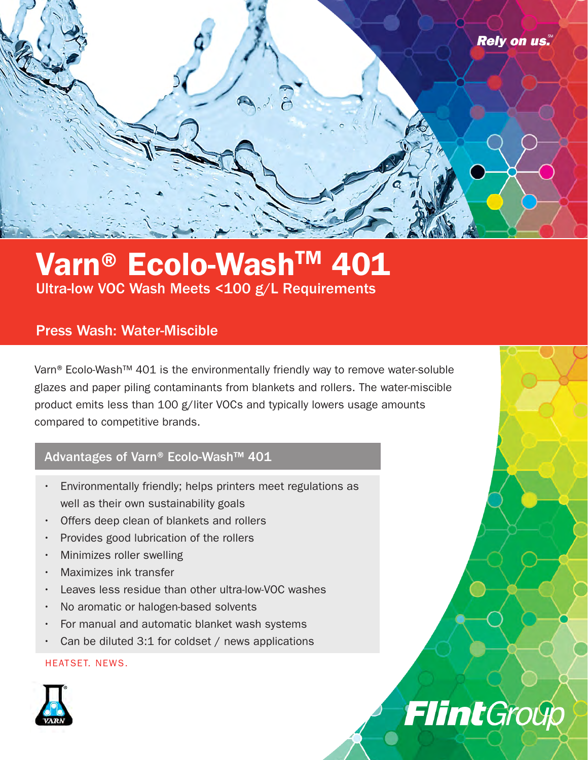

## Varn® Ecolo-Wash™ 401 Ultra-low VOC Wash Meets <100 g/L Requirements

### Press Wash: Water-Miscible

Varn® Ecolo-Wash™ 401 is the environmentally friendly way to remove water-soluble glazes and paper piling contaminants from blankets and rollers. The water-miscible product emits less than 100 g/liter VOCs and typically lowers usage amounts compared to competitive brands.

**Flint**Group

### Advantages of Varn® Ecolo-Wash™ 401

- Environmentally friendly; helps printers meet regulations as well as their own sustainability goals
- Offers deep clean of blankets and rollers
- Provides good lubrication of the rollers
- Minimizes roller swelling
- Maximizes ink transfer
- Leaves less residue than other ultra-low-VOC washes
- No aromatic or halogen-based solvents
- For manual and automatic blanket wash systems
- Can be diluted 3:1 for coldset / news applications

### HEATSET. NEWS.